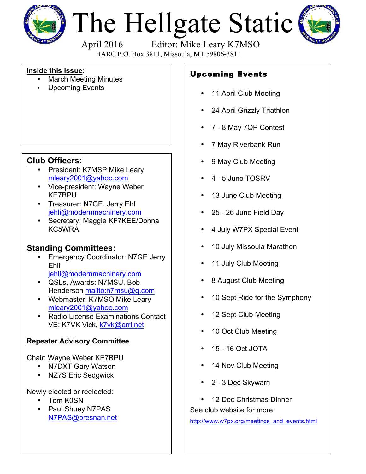

# The Hellgate Static



April 2016 Editor: Mike Leary K7MSO

HARC P.O. Box 3811, Missoula, MT 59806-3811

#### **Inside this issue**:

- March Meeting Minutes
- Upcoming Events

## **Club Officers:**

- President: K7MSP Mike Leary mleary2001@yahoo.com
- Vice-president: Wayne Weber KE7BPU
- Treasurer: N7GE, Jerry Ehli jehli@modernmachinery.com
- Secretary: Maggie KF7KEE/Donna KC5WRA

### **Standing Committees:**

- Emergency Coordinator: N7GE Jerry Ehli jehli@modernmachinery.com
- QSLs, Awards: N7MSU, Bob Henderson mailto:n7msu@q.com
- Webmaster: K7MSO Mike Leary mleary2001@yahoo.com
- Radio License Examinations Contact VE: K7VK Vick, k7vk@arrl.net

#### **Repeater Advisory Committee**

Chair: Wayne Weber KE7BPU

- N7DXT Gary Watson
- NZ7S Eric Sedgwick

Newly elected or reelected:

- Tom K0SN
- Paul Shuey N7PAS N7PAS@bresnan.net

# Upcoming Events

- 11 April Club Meeting
- 24 April Grizzly Triathlon
- 7 8 May 7QP Contest
- 7 May Riverbank Run
- 9 May Club Meeting
- 4 5 June TOSRV
- 13 June Club Meeting
- 25 26 June Field Day
- 4 July W7PX Special Event
- 10 July Missoula Marathon
- 11 July Club Meeting
- 8 August Club Meeting
- 10 Sept Ride for the Symphony
- 12 Sept Club Meeting
- 10 Oct Club Meeting
- 15 16 Oct JOTA
- 14 Nov Club Meeting
- 2 3 Dec Skywarn
- 12 Dec Christmas Dinner

See club website for more:

http://www.w7px.org/meetings\_and\_events.html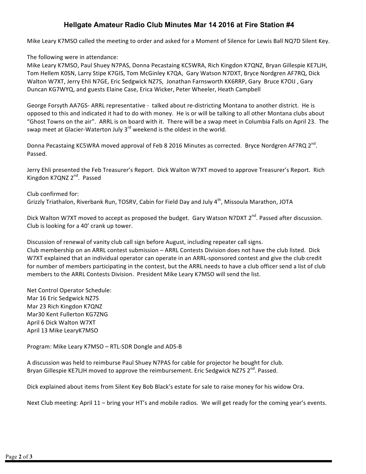#### **Hellgate Amateur Radio Club Minutes Mar 14 2016 at Fire Station #4**

Mike Leary K7MSO called the meeting to order and asked for a Moment of Silence for Lewis Ball NQ7D Silent Key.

The following were in attendance:

Mike Leary K7MSO, Paul Shuey N7PAS, Donna Pecastaing KC5WRA, Rich Kingdon K7QNZ, Bryan Gillespie KE7LJH, Tom Hellem K0SN, Larry Stipe K7GIS, Tom McGinley K7QA, Gary Watson N7DXT, Bryce Nordgren AF7RQ, Dick Walton W7XT, Jerry Ehli N7GE, Eric Sedgwick NZ7S, Jonathan Farnsworth KK6RRP, Gary Bruce K7OIJ, Gary Duncan KG7WYQ, and guests Elaine Case, Erica Wicker, Peter Wheeler, Heath Campbell

George Forsyth AA7GS- ARRL representative - talked about re-districting Montana to another district. He is opposed to this and indicated it had to do with money. He is or will be talking to all other Montana clubs about "Ghost Towns on the air". ARRL is on board with it. There will be a swap meet in Columbia Falls on April 23. The swap meet at Glacier-Waterton July  $3^{rd}$  weekend is the oldest in the world.

Donna Pecastaing KC5WRA moved approval of Feb 8 2016 Minutes as corrected. Bryce Nordgren AF7RQ 2<sup>nd</sup>. Passed. 

Jerry Ehli presented the Feb Treasurer's Report. Dick Walton W7XT moved to approve Treasurer's Report. Rich Kingdon K7QNZ 2<sup>nd</sup>. Passed

Club confirmed for: Grizzly Triathalon, Riverbank Run, TOSRV, Cabin for Field Day and July 4<sup>th</sup>, Missoula Marathon, JOTA

Dick Walton W7XT moved to accept as proposed the budget. Gary Watson N7DXT 2<sup>nd</sup>. Passed after discussion. Club is looking for a 40' crank up tower.

Discussion of renewal of vanity club call sign before August, including repeater call signs.

Club membership on an ARRL contest submission - ARRL Contests Division does not have the club listed. Dick W7XT explained that an individual operator can operate in an ARRL-sponsored contest and give the club credit for number of members participating in the contest, but the ARRL needs to have a club officer send a list of club members to the ARRL Contests Division. President Mike Leary K7MSO will send the list.

Net Control Operator Schedule: Mar 16 Eric Sedgwick NZ7S Mar 23 Rich Kingdon K7QNZ Mar30 Kent Fullerton KG7ZNG April 6 Dick Walton W7XT April 13 Mike LearyK7MSO

Program: Mike Leary K7MSO – RTL-SDR Dongle and ADS-B

A discussion was held to reimburse Paul Shuey N7PAS for cable for projector he bought for club. Bryan Gillespie KE7LJH moved to approve the reimbursement. Eric Sedgwick NZ7S 2<sup>nd</sup>. Passed.

Dick explained about items from Silent Key Bob Black's estate for sale to raise money for his widow Ora.

Next Club meeting: April  $11$  – bring your HT's and mobile radios. We will get ready for the coming year's events.